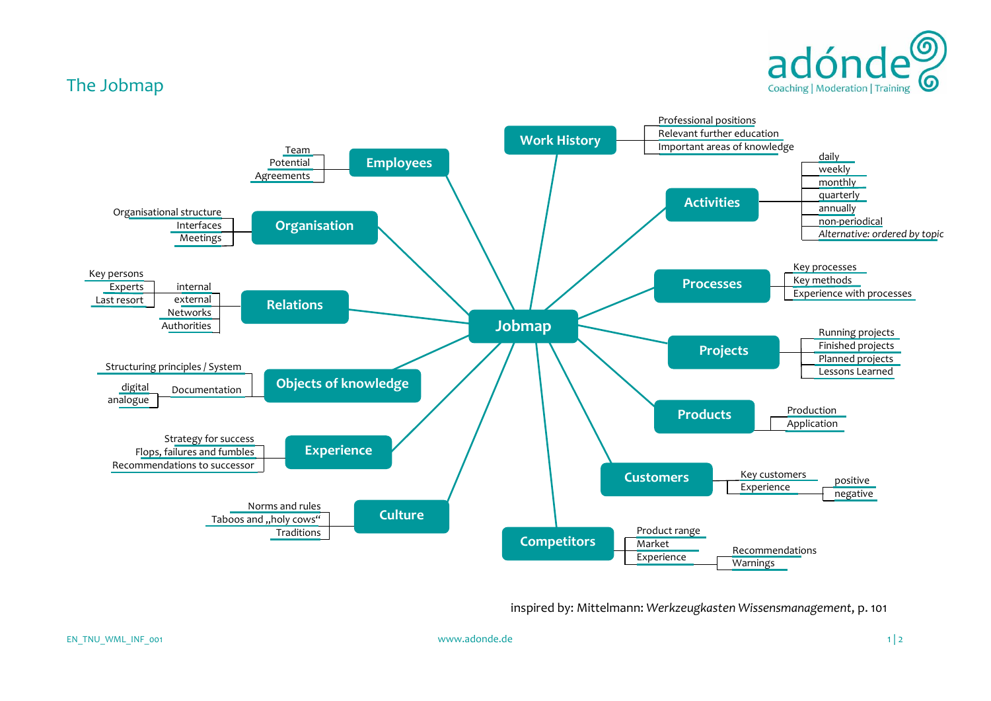

## The Jobmap



inspired by: Mittelmann: *Werkzeugkasten Wissensmanagement*, p. 101